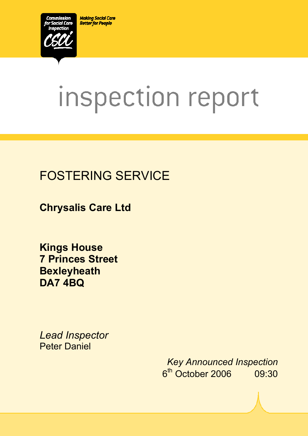**Making Social Care Better for People** 



# inspection report

 $X_1$ 10029.doc Version 1.40 Page 1.40 Page 1.40 Page 1.40 Page 1.40 Page 1.40 Page 1.40 Page 1.40 Page 1.40 Page 1.40 Page 1.40 Page 1.40 Page 1.40 Page 1.40 Page 1.40 Page 1.40 Page 1.40 Page 1.40 Page 1.40 Page 1.40 Pag

# FOSTERING SERVICE

**Chrysalis Care Ltd** 

**Kings House 7 Princes Street Bexleyheath DA7 4BQ** 

*Lead Inspector*  Peter Daniel

> *Key Announced Inspection* 6th October 2006 09:30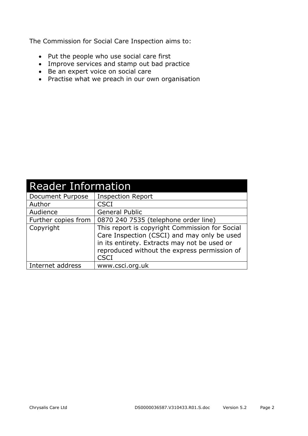The Commission for Social Care Inspection aims to:

- Put the people who use social care first
- Improve services and stamp out bad practice
- Be an expert voice on social care
- Practise what we preach in our own organisation

| <b>Reader Information</b> |                                                                                                                                                                                                              |  |  |
|---------------------------|--------------------------------------------------------------------------------------------------------------------------------------------------------------------------------------------------------------|--|--|
| Document Purpose          | <b>Inspection Report</b>                                                                                                                                                                                     |  |  |
| Author                    | <b>CSCI</b>                                                                                                                                                                                                  |  |  |
| Audience                  | <b>General Public</b>                                                                                                                                                                                        |  |  |
| Further copies from       | 0870 240 7535 (telephone order line)                                                                                                                                                                         |  |  |
| Copyright                 | This report is copyright Commission for Social<br>Care Inspection (CSCI) and may only be used<br>in its entirety. Extracts may not be used or<br>reproduced without the express permission of<br><b>CSCI</b> |  |  |
| Internet address          | www.csci.org.uk                                                                                                                                                                                              |  |  |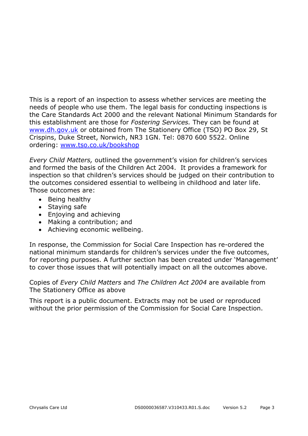This is a report of an inspection to assess whether services are meeting the needs of people who use them. The legal basis for conducting inspections is the Care Standards Act 2000 and the relevant National Minimum Standards for this establishment are those for *Fostering Services.* They can be found at www.dh.gov.uk or obtained from The Stationery Office (TSO) PO Box 29, St Crispins, Duke Street, Norwich, NR3 1GN. Tel: 0870 600 5522. Online ordering: www.tso.co.uk/bookshop

*Every Child Matters,* outlined the government's vision for children's services and formed the basis of the Children Act 2004. It provides a framework for inspection so that children's services should be judged on their contribution to the outcomes considered essential to wellbeing in childhood and later life. Those outcomes are:

- Being healthy
- Staying safe
- Enjoying and achieving
- Making a contribution; and
- Achieving economic wellbeing.

In response, the Commission for Social Care Inspection has re-ordered the national minimum standards for children's services under the five outcomes, for reporting purposes. A further section has been created under 'Management' to cover those issues that will potentially impact on all the outcomes above.

Copies of *Every Child Matters* and *The Children Act 2004* are available from The Stationery Office as above

This report is a public document. Extracts may not be used or reproduced without the prior permission of the Commission for Social Care Inspection.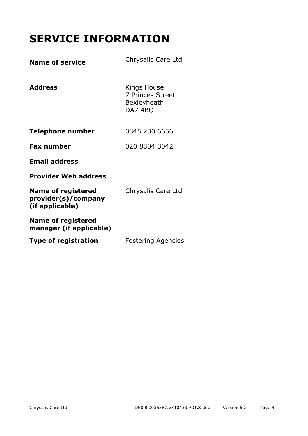# **SERVICE INFORMATION**

| <b>Name of service</b>                                              | Chrysalis Care Ltd                                               |
|---------------------------------------------------------------------|------------------------------------------------------------------|
| <b>Address</b>                                                      | Kings House<br>7 Princes Street<br><b>Bexleyheath</b><br>DA7 4BQ |
| Telephone number                                                    | 0845 230 6656                                                    |
| <b>Fax number</b>                                                   | 020 8304 3042                                                    |
| <b>Email address</b>                                                |                                                                  |
| <b>Provider Web address</b>                                         |                                                                  |
| <b>Name of registered</b><br>provider(s)/company<br>(if applicable) | Chrysalis Care Ltd                                               |
| <b>Name of registered</b><br>manager (if applicable)                |                                                                  |
| <b>Type of registration</b>                                         | <b>Fostering Agencies</b>                                        |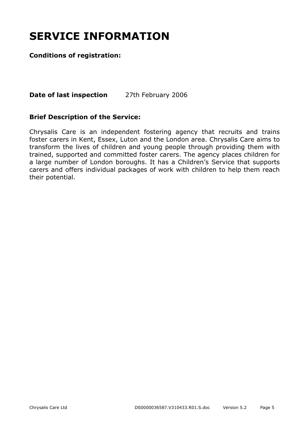# **SERVICE INFORMATION**

#### **Conditions of registration:**

**Date of last inspection** 27th February 2006

#### **Brief Description of the Service:**

Chrysalis Care is an independent fostering agency that recruits and trains foster carers in Kent, Essex, Luton and the London area. Chrysalis Care aims to transform the lives of children and young people through providing them with trained, supported and committed foster carers. The agency places children for a large number of London boroughs. It has a Children's Service that supports carers and offers individual packages of work with children to help them reach their potential.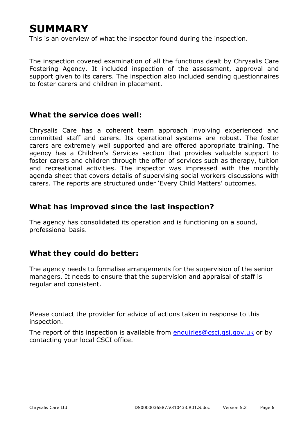# **SUMMARY**

This is an overview of what the inspector found during the inspection.

The inspection covered examination of all the functions dealt by Chrysalis Care Fostering Agency. It included inspection of the assessment, approval and support given to its carers. The inspection also included sending questionnaires to foster carers and children in placement.

#### **What the service does well:**

Chrysalis Care has a coherent team approach involving experienced and committed staff and carers. Its operational systems are robust. The foster carers are extremely well supported and are offered appropriate training. The agency has a Children's Services section that provides valuable support to foster carers and children through the offer of services such as therapy, tuition and recreational activities. The inspector was impressed with the monthly agenda sheet that covers details of supervising social workers discussions with carers. The reports are structured under 'Every Child Matters' outcomes.

#### **What has improved since the last inspection?**

The agency has consolidated its operation and is functioning on a sound, professional basis.

#### **What they could do better:**

The agency needs to formalise arrangements for the supervision of the senior managers. It needs to ensure that the supervision and appraisal of staff is regular and consistent.

Please contact the provider for advice of actions taken in response to this inspection.

The report of this inspection is available from enquiries@csci.gsi.gov.uk or by contacting your local CSCI office.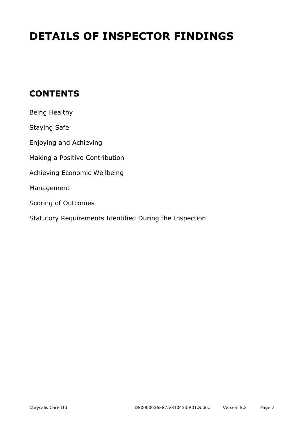# **DETAILS OF INSPECTOR FINDINGS**

## **CONTENTS**

| Being Healthy                                           |
|---------------------------------------------------------|
| <b>Staying Safe</b>                                     |
| Enjoying and Achieving                                  |
| Making a Positive Contribution                          |
| Achieving Economic Wellbeing                            |
| Management                                              |
| Scoring of Outcomes                                     |
| Statutory Requirements Identified During the Inspection |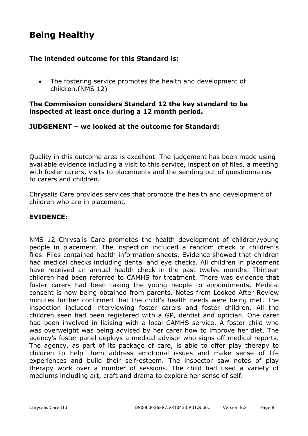## **Being Healthy**

#### **The intended outcome for this Standard is:**

• The fostering service promotes the health and development of children.(NMS 12)

#### **The Commission considers Standard 12 the key standard to be inspected at least once during a 12 month period.**

#### **JUDGEMENT – we looked at the outcome for Standard:**

Quality in this outcome area is excellent. The judgement has been made using available evidence including a visit to this service, inspection of files, a meeting with foster carers, visits to placements and the sending out of questionnaires to carers and children.

Chrysalis Care provides services that promote the health and development of children who are in placement.

#### **EVIDENCE:**

NMS 12 Chrysalis Care promotes the health development of children/young people in placement. The inspection included a random check of children's files. Files contained health information sheets. Evidence showed that children had medical checks including dental and eye checks. All children in placement have received an annual health check in the past twelve months. Thirteen children had been referred to CAMHS for treatment. There was evidence that foster carers had been taking the young people to appointments. Medical consent is now being obtained from parents. Notes from Looked After Review minutes further confirmed that the child's health needs were being met. The inspection included interviewing foster carers and foster children. All the children seen had been registered with a GP, dentist and optician. One carer had been involved in liaising with a local CAMHS service. A foster child who was overweight was being advised by her carer how to improve her diet. The agency's foster panel deploys a medical advisor who signs off medical reports. The agency, as part of its package of care, is able to offer play therapy to children to help them address emotional issues and make sense of life experiences and build their self-esteem. The inspector saw notes of play therapy work over a number of sessions. The child had used a variety of mediums including art, craft and drama to explore her sense of self.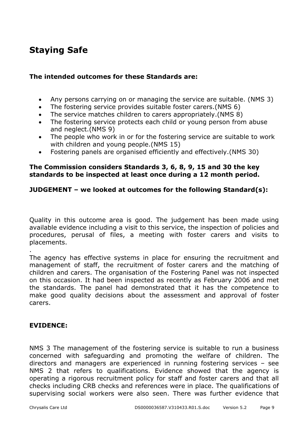## **Staying Safe**

#### **The intended outcomes for these Standards are:**

- Any persons carrying on or managing the service are suitable. (NMS 3)
- The fostering service provides suitable foster carers.(NMS 6)
- The service matches children to carers appropriately.(NMS 8)
- The fostering service protects each child or young person from abuse and neglect.(NMS 9)
- The people who work in or for the fostering service are suitable to work with children and young people.(NMS 15)
- Fostering panels are organised efficiently and effectively.(NMS 30)

#### **The Commission considers Standards 3, 6, 8, 9, 15 and 30 the key standards to be inspected at least once during a 12 month period.**

#### **JUDGEMENT – we looked at outcomes for the following Standard(s):**

Quality in this outcome area is good. The judgement has been made using available evidence including a visit to this service, the inspection of policies and procedures, perusal of files, a meeting with foster carers and visits to placements.

The agency has effective systems in place for ensuring the recruitment and management of staff, the recruitment of foster carers and the matching of children and carers. The organisation of the Fostering Panel was not inspected on this occasion. It had been inspected as recently as February 2006 and met the standards. The panel had demonstrated that it has the competence to make good quality decisions about the assessment and approval of foster carers.

#### **EVIDENCE:**

.

NMS 3 The management of the fostering service is suitable to run a business concerned with safeguarding and promoting the welfare of children. The directors and managers are experienced in running fostering services – see NMS 2 that refers to qualifications. Evidence showed that the agency is operating a rigorous recruitment policy for staff and foster carers and that all checks including CRB checks and references were in place. The qualifications of supervising social workers were also seen. There was further evidence that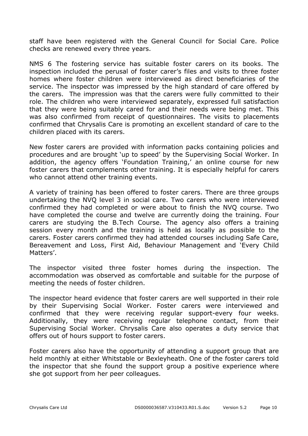staff have been registered with the General Council for Social Care. Police checks are renewed every three years.

NMS 6 The fostering service has suitable foster carers on its books. The inspection included the perusal of foster carer's files and visits to three foster homes where foster children were interviewed as direct beneficiaries of the service. The inspector was impressed by the high standard of care offered by the carers. The impression was that the carers were fully committed to their role. The children who were interviewed separately, expressed full satisfaction that they were being suitably cared for and their needs were being met. This was also confirmed from receipt of questionnaires. The visits to placements confirmed that Chrysalis Care is promoting an excellent standard of care to the children placed with its carers.

New foster carers are provided with information packs containing policies and procedures and are brought 'up to speed' by the Supervising Social Worker. In addition, the agency offers 'Foundation Training,' an online course for new foster carers that complements other training. It is especially helpful for carers who cannot attend other training events.

A variety of training has been offered to foster carers. There are three groups undertaking the NVQ level 3 in social care. Two carers who were interviewed confirmed they had completed or were about to finish the NVQ course. Two have completed the course and twelve are currently doing the training. Four carers are studying the B.Tech Course. The agency also offers a training session every month and the training is held as locally as possible to the carers. Foster carers confirmed they had attended courses including Safe Care, Bereavement and Loss, First Aid, Behaviour Management and 'Every Child Matters'.

The inspector visited three foster homes during the inspection. The accommodation was observed as comfortable and suitable for the purpose of meeting the needs of foster children.

The inspector heard evidence that foster carers are well supported in their role by their Supervising Social Worker. Foster carers were interviewed and confirmed that they were receiving regular support-every four weeks. Additionally, they were receiving regular telephone contact, from their Supervising Social Worker. Chrysalis Care also operates a duty service that offers out of hours support to foster carers.

Foster carers also have the opportunity of attending a support group that are held monthly at either Whitstable or Bexleyheath. One of the foster carers told the inspector that she found the support group a positive experience where she got support from her peer colleagues.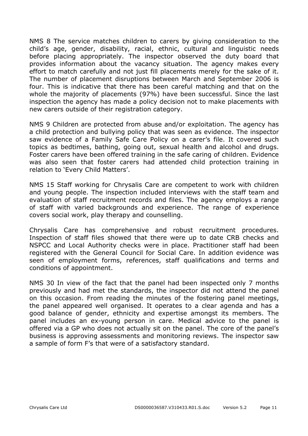NMS 8 The service matches children to carers by giving consideration to the child's age, gender, disability, racial, ethnic, cultural and linguistic needs before placing appropriately. The inspector observed the duty board that provides information about the vacancy situation. The agency makes every effort to match carefully and not just fill placements merely for the sake of it. The number of placement disruptions between March and September 2006 is four. This is indicative that there has been careful matching and that on the whole the majority of placements (97%) have been successful. Since the last inspection the agency has made a policy decision not to make placements with new carers outside of their registration category.

NMS 9 Children are protected from abuse and/or exploitation. The agency has a child protection and bullying policy that was seen as evidence. The inspector saw evidence of a Family Safe Care Policy on a carer's file. It covered such topics as bedtimes, bathing, going out, sexual health and alcohol and drugs. Foster carers have been offered training in the safe caring of children. Evidence was also seen that foster carers had attended child protection training in relation to 'Every Child Matters'.

NMS 15 Staff working for Chrysalis Care are competent to work with children and young people. The inspection included interviews with the staff team and evaluation of staff recruitment records and files. The agency employs a range of staff with varied backgrounds and experience. The range of experience covers social work, play therapy and counselling.

Chrysalis Care has comprehensive and robust recruitment procedures. Inspection of staff files showed that there were up to date CRB checks and NSPCC and Local Authority checks were in place. Practitioner staff had been registered with the General Council for Social Care. In addition evidence was seen of employment forms, references, staff qualifications and terms and conditions of appointment.

NMS 30 In view of the fact that the panel had been inspected only 7 months previously and had met the standards, the inspector did not attend the panel on this occasion. From reading the minutes of the fostering panel meetings, the panel appeared well organised. It operates to a clear agenda and has a good balance of gender, ethnicity and expertise amongst its members. The panel includes an ex-young person in care. Medical advice to the panel is offered via a GP who does not actually sit on the panel. The core of the panel's business is approving assessments and monitoring reviews. The inspector saw a sample of form F's that were of a satisfactory standard.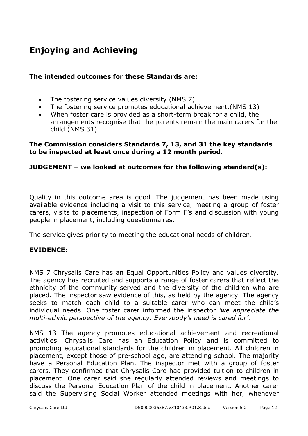# **Enjoying and Achieving**

#### **The intended outcomes for these Standards are:**

- The fostering service values diversity.(NMS 7)
- The fostering service promotes educational achievement.(NMS 13)
- When foster care is provided as a short-term break for a child, the arrangements recognise that the parents remain the main carers for the child.(NMS 31)

#### **The Commission considers Standards 7, 13, and 31 the key standards to be inspected at least once during a 12 month period.**

#### **JUDGEMENT – we looked at outcomes for the following standard(s):**

Quality in this outcome area is good. The judgement has been made using available evidence including a visit to this service, meeting a group of foster carers, visits to placements, inspection of Form F's and discussion with young people in placement, including questionnaires.

The service gives priority to meeting the educational needs of children.

#### **EVIDENCE:**

NMS 7 Chrysalis Care has an Equal Opportunities Policy and values diversity. The agency has recruited and supports a range of foster carers that reflect the ethnicity of the community served and the diversity of the children who are placed. The inspector saw evidence of this, as held by the agency. The agency seeks to match each child to a suitable carer who can meet the child's individual needs. One foster carer informed the inspector *'we appreciate the multi-ethnic perspective of the agency. Everybody's need is cared for'*.

NMS 13 The agency promotes educational achievement and recreational activities. Chrysalis Care has an Education Policy and is committed to promoting educational standards for the children in placement. All children in placement, except those of pre-school age, are attending school. The majority have a Personal Education Plan. The inspector met with a group of foster carers. They confirmed that Chrysalis Care had provided tuition to children in placement. One carer said she regularly attended reviews and meetings to discuss the Personal Education Plan of the child in placement. Another carer said the Supervising Social Worker attended meetings with her, whenever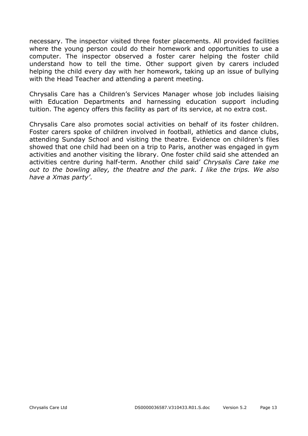necessary. The inspector visited three foster placements. All provided facilities where the young person could do their homework and opportunities to use a computer. The inspector observed a foster carer helping the foster child understand how to tell the time. Other support given by carers included helping the child every day with her homework, taking up an issue of bullying with the Head Teacher and attending a parent meeting.

Chrysalis Care has a Children's Services Manager whose job includes liaising with Education Departments and harnessing education support including tuition. The agency offers this facility as part of its service, at no extra cost.

Chrysalis Care also promotes social activities on behalf of its foster children. Foster carers spoke of children involved in football, athletics and dance clubs, attending Sunday School and visiting the theatre. Evidence on children's files showed that one child had been on a trip to Paris, another was engaged in gym activities and another visiting the library. One foster child said she attended an activities centre during half-term. Another child said' *Chrysalis Care take me out to the bowling alley, the theatre and the park. I like the trips. We also have a Xmas party'*.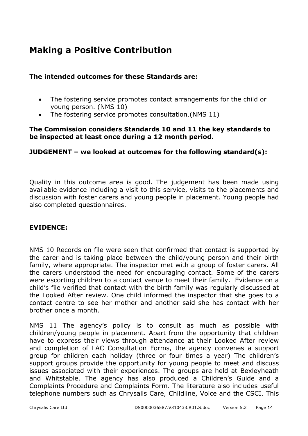## **Making a Positive Contribution**

#### **The intended outcomes for these Standards are:**

- The fostering service promotes contact arrangements for the child or young person. (NMS 10)
- The fostering service promotes consultation.(NMS 11)

#### **The Commission considers Standards 10 and 11 the key standards to be inspected at least once during a 12 month period.**

#### **JUDGEMENT – we looked at outcomes for the following standard(s):**

Quality in this outcome area is good. The judgement has been made using available evidence including a visit to this service, visits to the placements and discussion with foster carers and young people in placement. Young people had also completed questionnaires.

#### **EVIDENCE:**

NMS 10 Records on file were seen that confirmed that contact is supported by the carer and is taking place between the child/young person and their birth family, where appropriate. The inspector met with a group of foster carers. All the carers understood the need for encouraging contact. Some of the carers were escorting children to a contact venue to meet their family. Evidence on a child's file verified that contact with the birth family was regularly discussed at the Looked After review. One child informed the inspector that she goes to a contact centre to see her mother and another said she has contact with her brother once a month.

NMS 11 The agency's policy is to consult as much as possible with children/young people in placement. Apart from the opportunity that children have to express their views through attendance at their Looked After review and completion of LAC Consultation Forms, the agency convenes a support group for children each holiday (three or four times a year) The children's support groups provide the opportunity for young people to meet and discuss issues associated with their experiences. The groups are held at Bexleyheath and Whitstable. The agency has also produced a Children's Guide and a Complaints Procedure and Complaints Form. The literature also includes useful telephone numbers such as Chrysalis Care, Childline, Voice and the CSCI. This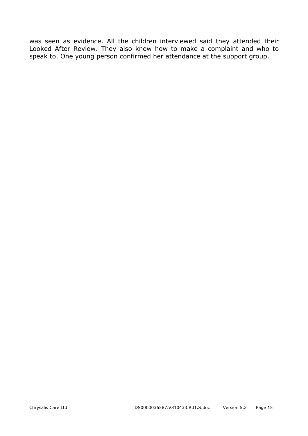was seen as evidence. All the children interviewed said they attended their Looked After Review. They also knew how to make a complaint and who to speak to. One young person confirmed her attendance at the support group.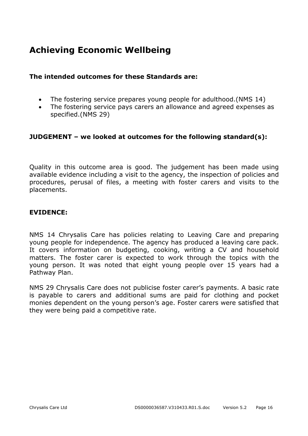## **Achieving Economic Wellbeing**

#### **The intended outcomes for these Standards are:**

- The fostering service prepares young people for adulthood.(NMS 14)
- The fostering service pays carers an allowance and agreed expenses as specified.(NMS 29)

#### **JUDGEMENT – we looked at outcomes for the following standard(s):**

Quality in this outcome area is good. The judgement has been made using available evidence including a visit to the agency, the inspection of policies and procedures, perusal of files, a meeting with foster carers and visits to the placements.

#### **EVIDENCE:**

NMS 14 Chrysalis Care has policies relating to Leaving Care and preparing young people for independence. The agency has produced a leaving care pack. It covers information on budgeting, cooking, writing a CV and household matters. The foster carer is expected to work through the topics with the young person. It was noted that eight young people over 15 years had a Pathway Plan.

NMS 29 Chrysalis Care does not publicise foster carer's payments. A basic rate is payable to carers and additional sums are paid for clothing and pocket monies dependent on the young person's age. Foster carers were satisfied that they were being paid a competitive rate.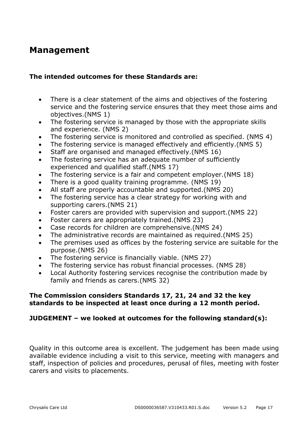### **Management**

#### **The intended outcomes for these Standards are:**

- There is a clear statement of the aims and objectives of the fostering service and the fostering service ensures that they meet those aims and objectives.(NMS 1)
- The fostering service is managed by those with the appropriate skills and experience. (NMS 2)
- The fostering service is monitored and controlled as specified. (NMS 4)
- The fostering service is managed effectively and efficiently.(NMS 5)
- Staff are organised and managed effectively.(NMS 16)
- The fostering service has an adequate number of sufficiently experienced and qualified staff.(NMS 17)
- The fostering service is a fair and competent employer.(NMS 18)
- There is a good quality training programme. (NMS 19)
- All staff are properly accountable and supported.(NMS 20)
- The fostering service has a clear strategy for working with and supporting carers.(NMS 21)
- Foster carers are provided with supervision and support.(NMS 22)
- Foster carers are appropriately trained.(NMS 23)
- Case records for children are comprehensive.(NMS 24)
- The administrative records are maintained as required.(NMS 25)
- The premises used as offices by the fostering service are suitable for the purpose.(NMS 26)
- The fostering service is financially viable. (NMS 27)
- The fostering service has robust financial processes. (NMS 28)
- Local Authority fostering services recognise the contribution made by family and friends as carers.(NMS 32)

#### **The Commission considers Standards 17, 21, 24 and 32 the key standards to be inspected at least once during a 12 month period.**

#### **JUDGEMENT – we looked at outcomes for the following standard(s):**

Quality in this outcome area is excellent. The judgement has been made using available evidence including a visit to this service, meeting with managers and staff, inspection of policies and procedures, perusal of files, meeting with foster carers and visits to placements.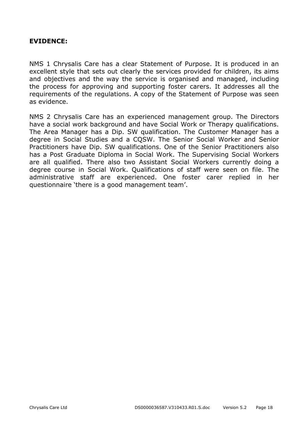#### **EVIDENCE:**

NMS 1 Chrysalis Care has a clear Statement of Purpose. It is produced in an excellent style that sets out clearly the services provided for children, its aims and objectives and the way the service is organised and managed, including the process for approving and supporting foster carers. It addresses all the requirements of the regulations. A copy of the Statement of Purpose was seen as evidence.

NMS 2 Chrysalis Care has an experienced management group. The Directors have a social work background and have Social Work or Therapy qualifications. The Area Manager has a Dip. SW qualification. The Customer Manager has a degree in Social Studies and a CQSW. The Senior Social Worker and Senior Practitioners have Dip. SW qualifications. One of the Senior Practitioners also has a Post Graduate Diploma in Social Work. The Supervising Social Workers are all qualified. There also two Assistant Social Workers currently doing a degree course in Social Work. Qualifications of staff were seen on file. The administrative staff are experienced. One foster carer replied in her questionnaire 'there is a good management team'.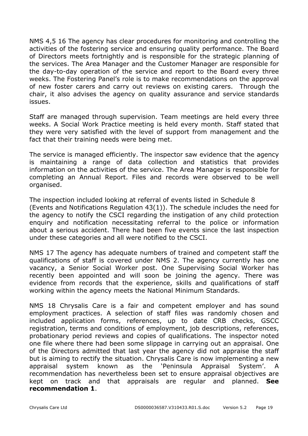NMS 4,5 16 The agency has clear procedures for monitoring and controlling the activities of the fostering service and ensuring quality performance. The Board of Directors meets fortnightly and is responsible for the strategic planning of the services. The Area Manager and the Customer Manager are responsible for the day-to-day operation of the service and report to the Board every three weeks. The Fostering Panel's role is to make recommendations on the approval of new foster carers and carry out reviews on existing carers. Through the chair, it also advises the agency on quality assurance and service standards issues.

Staff are managed through supervision. Team meetings are held every three weeks. A Social Work Practice meeting is held every month. Staff stated that they were very satisfied with the level of support from management and the fact that their training needs were being met.

The service is managed efficiently. The inspector saw evidence that the agency is maintaining a range of data collection and statistics that provides information on the activities of the service. The Area Manager is responsible for completing an Annual Report. Files and records were observed to be well organised.

The inspection included looking at referral of events listed in Schedule 8 (Events and Notifications Regulation 43(1)). The schedule includes the need for the agency to notify the CSCI regarding the instigation of any child protection enquiry and notification necessitating referral to the police or information about a serious accident. There had been five events since the last inspection under these categories and all were notified to the CSCI.

NMS 17 The agency has adequate numbers of trained and competent staff the qualifications of staff is covered under NMS 2. The agency currently has one vacancy, a Senior Social Worker post. One Supervising Social Worker has recently been appointed and will soon be joining the agency. There was evidence from records that the experience, skills and qualifications of staff working within the agency meets the National Minimum Standards.

NMS 18 Chrysalis Care is a fair and competent employer and has sound employment practices. A selection of staff files was randomly chosen and included application forms, references, up to date CRB checks, GSCC registration, terms and conditions of employment, job descriptions, references, probationary period reviews and copies of qualifications. The inspector noted one file where there had been some slippage in carrying out an appraisal. One of the Directors admitted that last year the agency did not appraise the staff but is aiming to rectify the situation. Chrysalis Care is now implementing a new appraisal system known as the 'Peninsula Appraisal System'. A recommendation has nevertheless been set to ensure appraisal objectives are kept on track and that appraisals are regular and planned. **See recommendation 1**.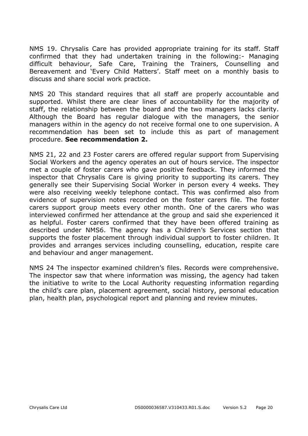NMS 19. Chrysalis Care has provided appropriate training for its staff. Staff confirmed that they had undertaken training in the following:- Managing difficult behaviour, Safe Care, Training the Trainers, Counselling and Bereavement and 'Every Child Matters'. Staff meet on a monthly basis to discuss and share social work practice.

NMS 20 This standard requires that all staff are properly accountable and supported. Whilst there are clear lines of accountability for the majority of staff, the relationship between the board and the two managers lacks clarity. Although the Board has regular dialogue with the managers, the senior managers within in the agency do not receive formal one to one supervision. A recommendation has been set to include this as part of management procedure. **See recommendation 2.** 

NMS 21, 22 and 23 Foster carers are offered regular support from Supervising Social Workers and the agency operates an out of hours service. The inspector met a couple of foster carers who gave positive feedback. They informed the inspector that Chrysalis Care is giving priority to supporting its carers. They generally see their Supervising Social Worker in person every 4 weeks. They were also receiving weekly telephone contact. This was confirmed also from evidence of supervision notes recorded on the foster carers file. The foster carers support group meets every other month. One of the carers who was interviewed confirmed her attendance at the group and said she experienced it as helpful. Foster carers confirmed that they have been offered training as described under NMS6. The agency has a Children's Services section that supports the foster placement through individual support to foster children. It provides and arranges services including counselling, education, respite care and behaviour and anger management.

NMS 24 The inspector examined children's files. Records were comprehensive. The inspector saw that where information was missing, the agency had taken the initiative to write to the Local Authority requesting information regarding the child's care plan, placement agreement, social history, personal education plan, health plan, psychological report and planning and review minutes.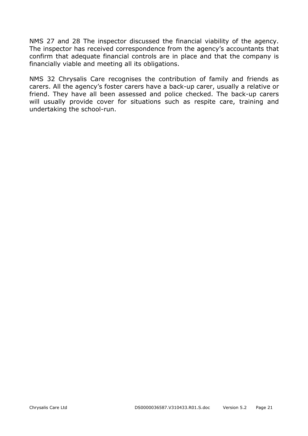NMS 27 and 28 The inspector discussed the financial viability of the agency. The inspector has received correspondence from the agency's accountants that confirm that adequate financial controls are in place and that the company is financially viable and meeting all its obligations.

NMS 32 Chrysalis Care recognises the contribution of family and friends as carers. All the agency's foster carers have a back-up carer, usually a relative or friend. They have all been assessed and police checked. The back-up carers will usually provide cover for situations such as respite care, training and undertaking the school-run.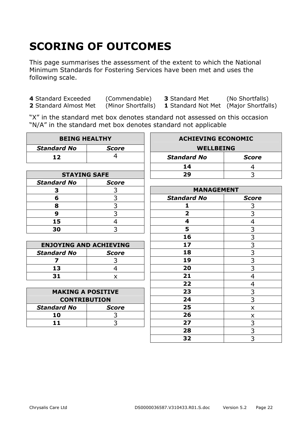# **SCORING OF OUTCOMES**

This page summarises the assessment of the extent to which the National Minimum Standards for Fostering Services have been met and uses the following scale.

**4** Standard Exceeded (Commendable) **3** Standard Met (No Shortfalls) **2** Standard Almost Met (Minor Shortfalls) **1** Standard Not Met (Maior Shortfalls)

**1** Standard Not Met (Major Shortfalls)

"X" in the standard met box denotes standard not assessed on this occasion "N/A" in the standard met box denotes standard not applicable

| <b>BEING HEALTHY</b>          |                | <b>ACHIEVING ECONOMIC</b> |                |
|-------------------------------|----------------|---------------------------|----------------|
| <b>Standard No</b>            | <b>Score</b>   | <b>WELLBEING</b>          |                |
| 12                            | 4              | <b>Standard No</b>        | <b>Score</b>   |
|                               |                | 14                        | 4              |
| <b>STAYING SAFE</b>           |                | 29                        | 3              |
| <b>Standard No</b>            | <b>Score</b>   |                           |                |
| 3                             | 3              | <b>MANAGEMENT</b>         |                |
| 6                             | 3              | <b>Standard No</b>        | <b>Score</b>   |
| 8                             | 3              | 1                         | 3              |
| 9                             | $\overline{3}$ | $\overline{\mathbf{2}}$   | $\overline{3}$ |
| 15                            | $\overline{4}$ | 4                         | 4              |
| 30                            | 3              | 5                         | 3              |
|                               |                | 16                        | $\overline{3}$ |
| <b>ENJOYING AND ACHIEVING</b> |                | 17                        | $\overline{3}$ |
| <b>Standard No</b>            | <b>Score</b>   | 18                        | $\overline{3}$ |
| $\overline{\mathbf{z}}$       | 3              | 19                        | $\overline{3}$ |
| 13                            | $\overline{4}$ | 20                        | $\overline{3}$ |
| 31                            | X              | 21                        | $\overline{4}$ |
|                               |                | 22                        | 4              |
| <b>MAKING A POSITIVE</b>      |                | 23                        | $\overline{3}$ |
| <b>CONTRIBUTION</b>           |                | 24                        | $\overline{3}$ |
| <b>Standard No</b>            | <b>Score</b>   | 25                        | X              |
| 10                            | 3              | 26                        | x              |
| 11                            | 3              | 27                        | 3              |
|                               |                | 28                        | $\overline{3}$ |
|                               |                | 32                        | $\overline{3}$ |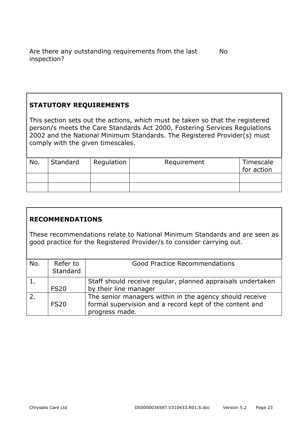#### **STATUTORY REQUIREMENTS**

This section sets out the actions, which must be taken so that the registered person/s meets the Care Standards Act 2000, Fostering Services Regulations 2002 and the National Minimum Standards. The Registered Provider(s) must comply with the given timescales.

| No. | Standard | Regulation | Requirement | Timescale<br>for action |
|-----|----------|------------|-------------|-------------------------|
|     |          |            |             |                         |
|     |          |            |             |                         |

#### **RECOMMENDATIONS**

These recommendations relate to National Minimum Standards and are seen as good practice for the Registered Provider/s to consider carrying out.

| No. | Refer to<br>Standard | Good Practice Recommendations                                                                                                        |
|-----|----------------------|--------------------------------------------------------------------------------------------------------------------------------------|
|     | <b>FS20</b>          | Staff should receive regular, planned appraisals undertaken<br>by their line manager                                                 |
|     | <b>FS20</b>          | The senior managers within in the agency should receive<br>formal supervision and a record kept of the content and<br>progress made. |